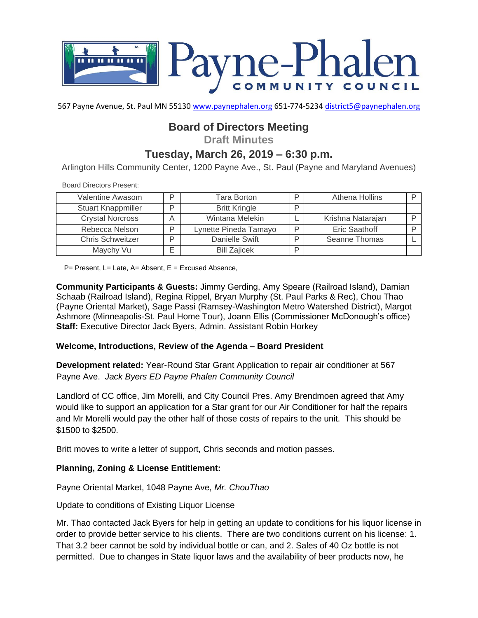

567 Payne Avenue, St. Paul MN 55130 [www.paynephalen.org](http://www.paynephalen.org/) 651-774-5234 [district5@paynephalen.org](mailto:district5@paynephalen.org)

# **Board of Directors Meeting**

**Draft Minutes**

## **Tuesday, March 26, 2019 – 6:30 p.m.**

Arlington Hills Community Center, 1200 Payne Ave., St. Paul (Payne and Maryland Avenues)

Board Directors Present:

| Valentine Awasom          | D | Tara Borton           |   | Athena Hollins    |  |
|---------------------------|---|-----------------------|---|-------------------|--|
| <b>Stuart Knappmiller</b> |   | <b>Britt Kringle</b>  |   |                   |  |
| <b>Crystal Norcross</b>   | А | Wintana Melekin       |   | Krishna Natarajan |  |
| Rebecca Nelson            | D | Lynette Pineda Tamayo |   | Eric Saathoff     |  |
| <b>Chris Schweitzer</b>   | ח | Danielle Swift        |   | Seanne Thomas     |  |
| Maychy Vu                 |   | <b>Bill Zajicek</b>   | D |                   |  |

 $P=$  Present, L= Late, A= Absent, E = Excused Absence,

**Community Participants & Guests:** Jimmy Gerding, Amy Speare (Railroad Island), Damian Schaab (Railroad Island), Regina Rippel, Bryan Murphy (St. Paul Parks & Rec), Chou Thao (Payne Oriental Market), Sage Passi (Ramsey-Washington Metro Watershed District), Margot Ashmore (Minneapolis-St. Paul Home Tour), Joann Ellis (Commissioner McDonough's office) **Staff:** Executive Director Jack Byers, Admin. Assistant Robin Horkey

### **Welcome, Introductions, Review of the Agenda – Board President**

**Development related:** Year-Round Star Grant Application to repair air conditioner at 567 Payne Ave. *Jack Byers ED Payne Phalen Community Council*

Landlord of CC office, Jim Morelli, and City Council Pres. Amy Brendmoen agreed that Amy would like to support an application for a Star grant for our Air Conditioner for half the repairs and Mr Morelli would pay the other half of those costs of repairs to the unit. This should be \$1500 to \$2500.

Britt moves to write a letter of support, Chris seconds and motion passes.

### **Planning, Zoning & License Entitlement:**

Payne Oriental Market, 1048 Payne Ave, *Mr. ChouThao*

Update to conditions of Existing Liquor License

Mr. Thao contacted Jack Byers for help in getting an update to conditions for his liquor license in order to provide better service to his clients. There are two conditions current on his license: 1. That 3.2 beer cannot be sold by individual bottle or can, and 2. Sales of 40 Oz bottle is not permitted. Due to changes in State liquor laws and the availability of beer products now, he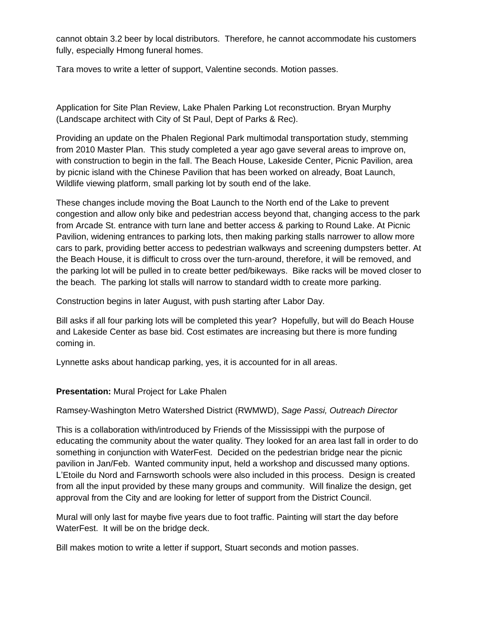cannot obtain 3.2 beer by local distributors. Therefore, he cannot accommodate his customers fully, especially Hmong funeral homes.

Tara moves to write a letter of support, Valentine seconds. Motion passes.

Application for Site Plan Review, Lake Phalen Parking Lot reconstruction. Bryan Murphy (Landscape architect with City of St Paul, Dept of Parks & Rec).

Providing an update on the Phalen Regional Park multimodal transportation study, stemming from 2010 Master Plan. This study completed a year ago gave several areas to improve on, with construction to begin in the fall. The Beach House, Lakeside Center, Picnic Pavilion, area by picnic island with the Chinese Pavilion that has been worked on already, Boat Launch, Wildlife viewing platform, small parking lot by south end of the lake.

These changes include moving the Boat Launch to the North end of the Lake to prevent congestion and allow only bike and pedestrian access beyond that, changing access to the park from Arcade St. entrance with turn lane and better access & parking to Round Lake. At Picnic Pavilion, widening entrances to parking lots, then making parking stalls narrower to allow more cars to park, providing better access to pedestrian walkways and screening dumpsters better. At the Beach House, it is difficult to cross over the turn-around, therefore, it will be removed, and the parking lot will be pulled in to create better ped/bikeways. Bike racks will be moved closer to the beach. The parking lot stalls will narrow to standard width to create more parking.

Construction begins in later August, with push starting after Labor Day.

Bill asks if all four parking lots will be completed this year? Hopefully, but will do Beach House and Lakeside Center as base bid. Cost estimates are increasing but there is more funding coming in.

Lynnette asks about handicap parking, yes, it is accounted for in all areas.

### **Presentation:** Mural Project for Lake Phalen

Ramsey-Washington Metro Watershed District (RWMWD), *Sage Passi, Outreach Director*

This is a collaboration with/introduced by Friends of the Mississippi with the purpose of educating the community about the water quality. They looked for an area last fall in order to do something in conjunction with WaterFest. Decided on the pedestrian bridge near the picnic pavilion in Jan/Feb. Wanted community input, held a workshop and discussed many options. L'Etoile du Nord and Farnsworth schools were also included in this process. Design is created from all the input provided by these many groups and community. Will finalize the design, get approval from the City and are looking for letter of support from the District Council.

Mural will only last for maybe five years due to foot traffic. Painting will start the day before WaterFest. It will be on the bridge deck.

Bill makes motion to write a letter if support, Stuart seconds and motion passes.